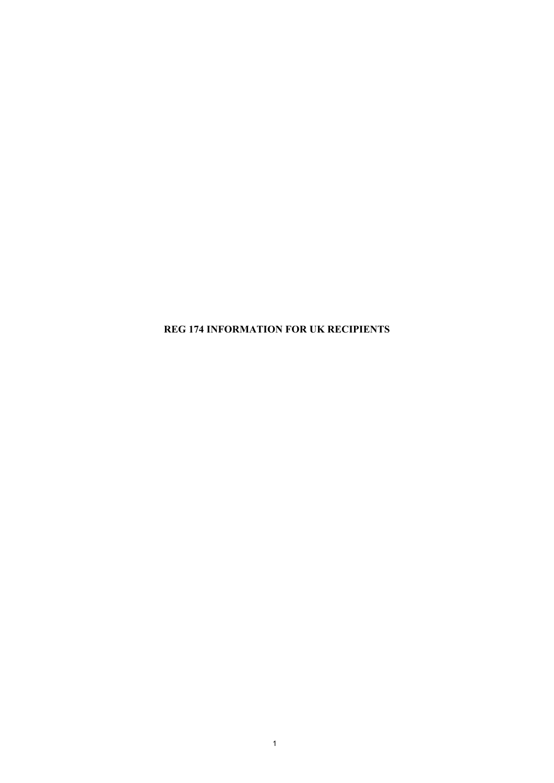**REG 174 INFORMATION FOR UK RECIPIENTS**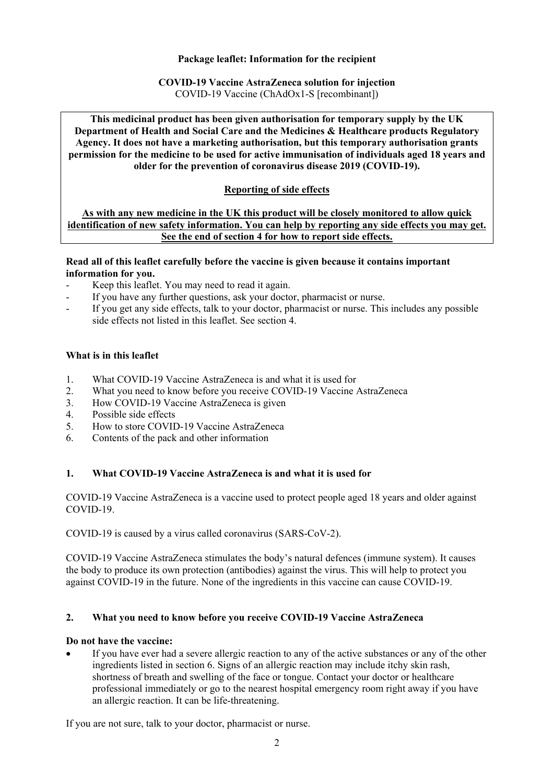### **Package leaflet: Information for the recipient**

# **COVID-19 Vaccine AstraZeneca solution for injection**

COVID-19 Vaccine (ChAdOx1-S [recombinant])

**This medicinal product has been given authorisation for temporary supply by the UK Department of Health and Social Care and the Medicines & Healthcare products Regulatory Agency. It does not have a marketing authorisation, but this temporary authorisation grants permission for the medicine to be used for active immunisation of individuals aged 18 years and older for the prevention of coronavirus disease 2019 (COVID-19).** 

## **Reporting of side effects**

**As with any new medicine in the UK this product will be closely monitored to allow quick identification of new safety information. You can help by reporting any side effects you may get. See the end of section 4 for how to report side effects.** 

### **Read all of this leaflet carefully before the vaccine is given because it contains important information for you.**

- Keep this leaflet. You may need to read it again.
- If you have any further questions, ask your doctor, pharmacist or nurse.
- If you get any side effects, talk to your doctor, pharmacist or nurse. This includes any possible side effects not listed in this leaflet. See section 4.

### **What is in this leaflet**

- 1. What COVID-19 Vaccine AstraZeneca is and what it is used for
- 2. What you need to know before you receive COVID-19 Vaccine AstraZeneca
- 3. How COVID-19 Vaccine AstraZeneca is given
- 4. Possible side effects
- 5. How to store COVID-19 Vaccine AstraZeneca
- 6. Contents of the pack and other information

## **1. What COVID-19 Vaccine AstraZeneca is and what it is used for**

COVID-19 Vaccine AstraZeneca is a vaccine used to protect people aged 18 years and older against COVID-19.

COVID-19 is caused by a virus called coronavirus (SARS-CoV-2).

COVID-19 Vaccine AstraZeneca stimulates the body's natural defences (immune system). It causes the body to produce its own protection (antibodies) against the virus. This will help to protect you against COVID-19 in the future. None of the ingredients in this vaccine can cause COVID-19.

### **2. What you need to know before you receive COVID-19 Vaccine AstraZeneca**

### **Do not have the vaccine:**

 If you have ever had a severe allergic reaction to any of the active substances or any of the other ingredients listed in section 6. Signs of an allergic reaction may include itchy skin rash, shortness of breath and swelling of the face or tongue. Contact your doctor or healthcare professional immediately or go to the nearest hospital emergency room right away if you have an allergic reaction. It can be life-threatening.

If you are not sure, talk to your doctor, pharmacist or nurse.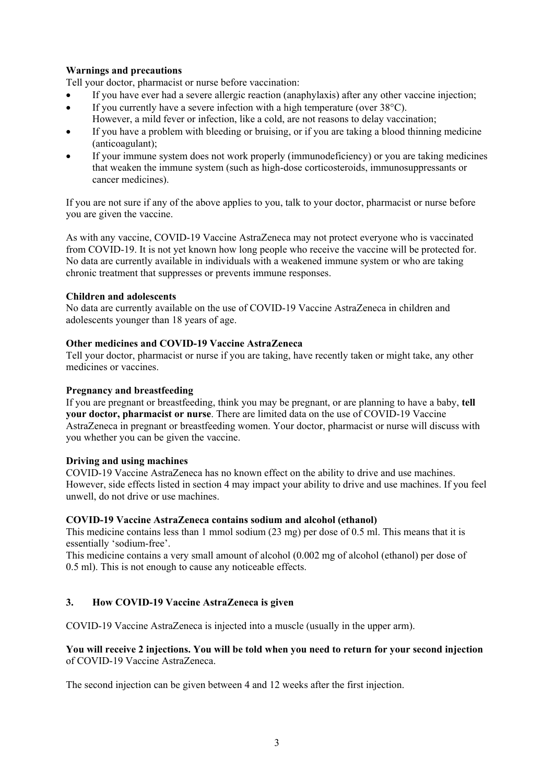## **Warnings and precautions**

Tell your doctor, pharmacist or nurse before vaccination:

- If you have ever had a severe allergic reaction (anaphylaxis) after any other vaccine injection;
- If you currently have a severe infection with a high temperature (over  $38^{\circ}$ C).
	- However, a mild fever or infection, like a cold, are not reasons to delay vaccination;
- If you have a problem with bleeding or bruising, or if you are taking a blood thinning medicine (anticoagulant);
- If your immune system does not work properly (immunodeficiency) or you are taking medicines that weaken the immune system (such as high-dose corticosteroids, immunosuppressants or cancer medicines).

If you are not sure if any of the above applies to you, talk to your doctor, pharmacist or nurse before you are given the vaccine.

As with any vaccine, COVID-19 Vaccine AstraZeneca may not protect everyone who is vaccinated from COVID-19. It is not yet known how long people who receive the vaccine will be protected for. No data are currently available in individuals with a weakened immune system or who are taking chronic treatment that suppresses or prevents immune responses.

### **Children and adolescents**

No data are currently available on the use of COVID-19 Vaccine AstraZeneca in children and adolescents younger than 18 years of age.

### **Other medicines and COVID-19 Vaccine AstraZeneca**

Tell your doctor, pharmacist or nurse if you are taking, have recently taken or might take, any other medicines or vaccines.

### **Pregnancy and breastfeeding**

If you are pregnant or breastfeeding, think you may be pregnant, or are planning to have a baby, **tell your doctor, pharmacist or nurse**. There are limited data on the use of COVID-19 Vaccine AstraZeneca in pregnant or breastfeeding women. Your doctor, pharmacist or nurse will discuss with you whether you can be given the vaccine.

### **Driving and using machines**

COVID-19 Vaccine AstraZeneca has no known effect on the ability to drive and use machines. However, side effects listed in section 4 may impact your ability to drive and use machines. If you feel unwell, do not drive or use machines.

### **COVID-19 Vaccine AstraZeneca contains sodium and alcohol (ethanol)**

This medicine contains less than 1 mmol sodium (23 mg) per dose of 0.5 ml. This means that it is essentially 'sodium-free'.

This medicine contains a very small amount of alcohol (0.002 mg of alcohol (ethanol) per dose of 0.5 ml). This is not enough to cause any noticeable effects.

## **3. How COVID-19 Vaccine AstraZeneca is given**

COVID-19 Vaccine AstraZeneca is injected into a muscle (usually in the upper arm).

### **You will receive 2 injections. You will be told when you need to return for your second injection** of COVID-19 Vaccine AstraZeneca.

The second injection can be given between 4 and 12 weeks after the first injection.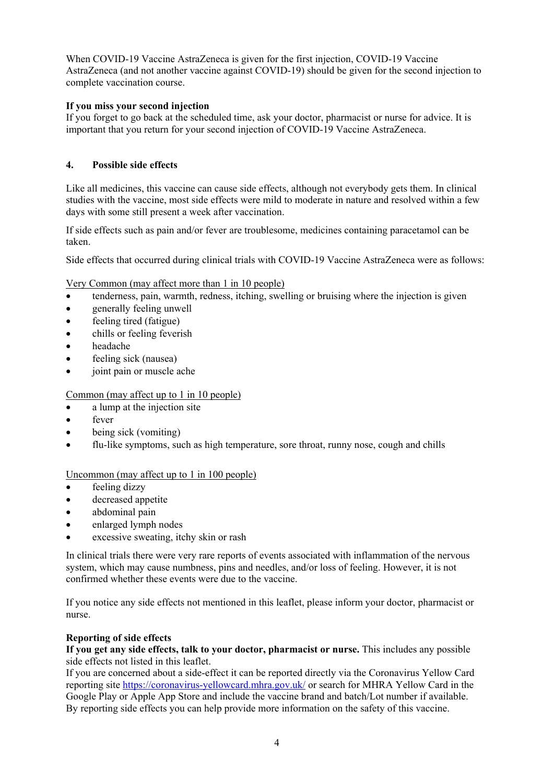When COVID-19 Vaccine AstraZeneca is given for the first injection, COVID-19 Vaccine AstraZeneca (and not another vaccine against COVID-19) should be given for the second injection to complete vaccination course.

## **If you miss your second injection**

If you forget to go back at the scheduled time, ask your doctor, pharmacist or nurse for advice. It is important that you return for your second injection of COVID-19 Vaccine AstraZeneca.

## **4. Possible side effects**

Like all medicines, this vaccine can cause side effects, although not everybody gets them. In clinical studies with the vaccine, most side effects were mild to moderate in nature and resolved within a few days with some still present a week after vaccination.

If side effects such as pain and/or fever are troublesome, medicines containing paracetamol can be taken.

Side effects that occurred during clinical trials with COVID-19 Vaccine AstraZeneca were as follows:

Very Common (may affect more than 1 in 10 people)

- tenderness, pain, warmth, redness, itching, swelling or bruising where the injection is given
- generally feeling unwell
- feeling tired (fatigue)
- chills or feeling feverish
- headache
- feeling sick (nausea)
- joint pain or muscle ache

# Common (may affect up to 1 in 10 people)

- a lump at the injection site
- fever
- being sick (vomiting)
- flu-like symptoms, such as high temperature, sore throat, runny nose, cough and chills

## Uncommon (may affect up to 1 in 100 people)

- feeling dizzy
- decreased appetite
- abdominal pain
- enlarged lymph nodes
- excessive sweating, itchy skin or rash

In clinical trials there were very rare reports of events associated with inflammation of the nervous system, which may cause numbness, pins and needles, and/or loss of feeling. However, it is not confirmed whether these events were due to the vaccine.

If you notice any side effects not mentioned in this leaflet, please inform your doctor, pharmacist or nurse.

## **Reporting of side effects**

**If you get any side effects, talk to your doctor, pharmacist or nurse.** This includes any possible side effects not listed in this leaflet.

If you are concerned about a side-effect it can be reported directly via the Coronavirus Yellow Card reporting site https://coronavirus-yellowcard.mhra.gov.uk/ or search for MHRA Yellow Card in the Google Play or Apple App Store and include the vaccine brand and batch/Lot number if available. By reporting side effects you can help provide more information on the safety of this vaccine.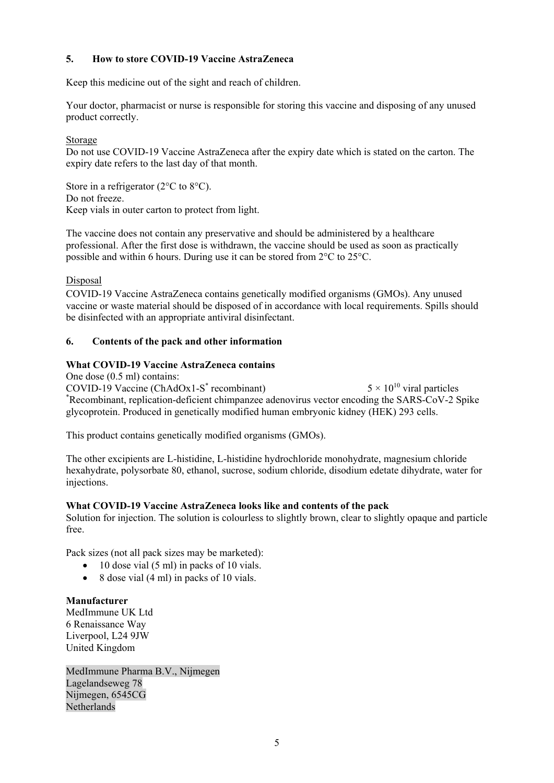## **5. How to store COVID-19 Vaccine AstraZeneca**

Keep this medicine out of the sight and reach of children.

Your doctor, pharmacist or nurse is responsible for storing this vaccine and disposing of any unused product correctly.

### Storage

Do not use COVID-19 Vaccine AstraZeneca after the expiry date which is stated on the carton. The expiry date refers to the last day of that month.

Store in a refrigerator (2<sup>o</sup>C to 8<sup>o</sup>C). Do not freeze. Keep vials in outer carton to protect from light.

The vaccine does not contain any preservative and should be administered by a healthcare professional. After the first dose is withdrawn, the vaccine should be used as soon as practically possible and within 6 hours. During use it can be stored from 2°C to 25°C.

### Disposal

COVID-19 Vaccine AstraZeneca contains genetically modified organisms (GMOs). Any unused vaccine or waste material should be disposed of in accordance with local requirements. Spills should be disinfected with an appropriate antiviral disinfectant.

### **6. Contents of the pack and other information**

### **What COVID-19 Vaccine AstraZeneca contains**

One dose (0.5 ml) contains:

COVID-19 Vaccine (ChAdOx1-S\* COVID-19 Vaccine (ChAdOx1-S<sup>\*</sup> recombinant)  $5 \times 10^{10}$  viral particles  $5 \times 10^{10}$  viral particles  $\alpha$  are all particles to recombinant, replication-deficient chimpanzee adenovirus vector encoding the SARS-CoV-2 Spike glycoprotein. Produced in genetically modified human embryonic kidney (HEK) 293 cells.

This product contains genetically modified organisms (GMOs).

The other excipients are L-histidine, L-histidine hydrochloride monohydrate, magnesium chloride hexahydrate, polysorbate 80, ethanol, sucrose, sodium chloride, disodium edetate dihydrate, water for injections.

### **What COVID-19 Vaccine AstraZeneca looks like and contents of the pack**

Solution for injection. The solution is colourless to slightly brown, clear to slightly opaque and particle free.

Pack sizes (not all pack sizes may be marketed):

- $\bullet$  10 dose vial (5 ml) in packs of 10 vials.
- $\bullet$  8 dose vial (4 ml) in packs of 10 vials.

## **Manufacturer**

MedImmune UK Ltd 6 Renaissance Way Liverpool, L24 9JW United Kingdom

MedImmune Pharma B.V., Nijmegen Lagelandseweg 78 Nijmegen, 6545CG Netherlands